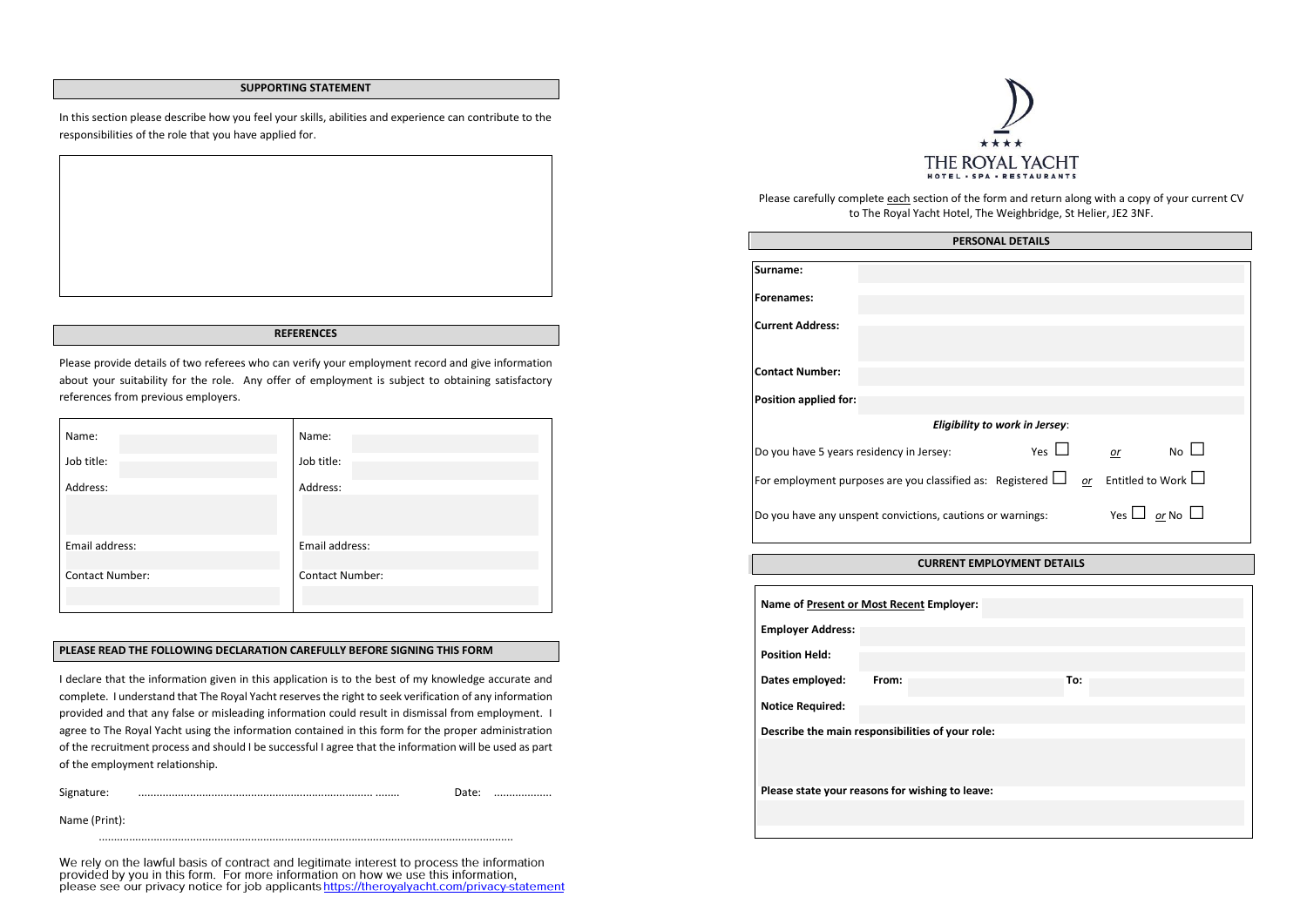### **SUPPORTING STATEMENT**

In this section please describe how you feel your skills, abilities and experience can contribute to the responsibilities of the role that you have applied for.

### **REFERENCES**

Please provide details of two referees who can verify your employment record and give information about your suitability for the role. Any offer of employment is subject to obtaining satisfactory references from previous employers.

| Name:                  | Name:                  |
|------------------------|------------------------|
| Job title:             | Job title:             |
| Address:               | Address:               |
|                        |                        |
| Email address:         | Email address:         |
|                        |                        |
| <b>Contact Number:</b> | <b>Contact Number:</b> |
|                        |                        |
|                        |                        |

### **PLEASE READ THE FOLLOWING DECLARATION CAREFULLY BEFORE SIGNING THIS FORM**

I declare that the information given in this application is to the best of my knowledge accurate and complete. I understand that The Royal Yacht reserves the right to seek verification of any information provided and that any false or misleading information could result in dismissal from employment. I agree to The Royal Yacht using the information contained in this form for the proper administration of the recruitment process and should I be successful I agree that the information will be used as part of the employment relationship.

Signature: ............................................................................. ........ Date: ...................

Name (Print):

We rely on the lawful basis of contract and legitimate interest to process the information<br>provided by you in this form. For more information on how we use this information,<br>please see our privacy notice for job applicants

........................................................................................................................................

Please carefully complete each section of the form and return along with a copy of your current CV to The Royal Yacht Hotel, The Weighbridge, St Helier, JE2 3NF.

|                                          |                                                                                              | <b>PERSONAL DETAILS</b>           |                 |  |  |  |
|------------------------------------------|----------------------------------------------------------------------------------------------|-----------------------------------|-----------------|--|--|--|
| Surname:                                 |                                                                                              |                                   |                 |  |  |  |
| Forenames:                               |                                                                                              |                                   |                 |  |  |  |
| <b>Current Address:</b>                  |                                                                                              |                                   |                 |  |  |  |
| <b>Contact Number:</b>                   |                                                                                              |                                   |                 |  |  |  |
| <b>Position applied for:</b>             |                                                                                              |                                   |                 |  |  |  |
|                                          |                                                                                              | Eligibility to work in Jersey:    |                 |  |  |  |
| Do you have 5 years residency in Jersey: |                                                                                              | Yes $\Box$                        | $No \Box$<br>or |  |  |  |
|                                          | For employment purposes are you classified as: Registered $\Box$ or Entitled to Work $\Box$  |                                   |                 |  |  |  |
|                                          | Yes $\Box$ <u>or</u> No $\Box$<br>Do you have any unspent convictions, cautions or warnings: |                                   |                 |  |  |  |
|                                          |                                                                                              | <b>CURRENT EMPLOYMENT DETAILS</b> |                 |  |  |  |
|                                          | Name of Present or Most Recent Employer:                                                     |                                   |                 |  |  |  |
| <b>Employer Address:</b>                 |                                                                                              |                                   |                 |  |  |  |
| <b>Position Held:</b>                    |                                                                                              |                                   |                 |  |  |  |
| Dates employed:                          | From:                                                                                        | To:                               |                 |  |  |  |
| <b>Notice Required:</b>                  |                                                                                              |                                   |                 |  |  |  |
|                                          | Describe the main responsibilities of your role:                                             |                                   |                 |  |  |  |
|                                          |                                                                                              |                                   |                 |  |  |  |
|                                          | Please state your reasons for wishing to leave:                                              |                                   |                 |  |  |  |
|                                          |                                                                                              |                                   |                 |  |  |  |
|                                          |                                                                                              |                                   |                 |  |  |  |